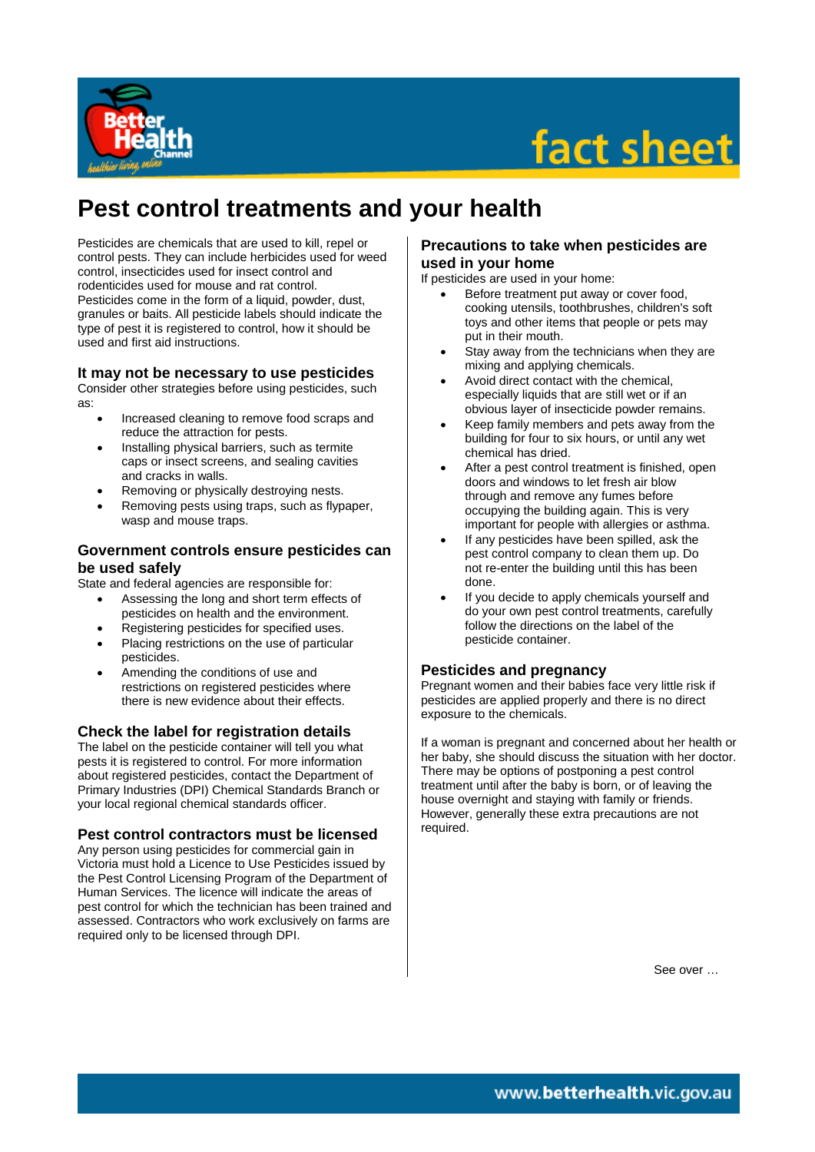

# fact sheet

# **Pest control treatments and your health**

Pesticides are chemicals that are used to kill, repel or control pests. They can include herbicides used for weed control, insecticides used for insect control and rodenticides used for mouse and rat control. Pesticides come in the form of a liquid, powder, dust, granules or baits. All pesticide labels should indicate the type of pest it is registered to control, how it should be used and first aid instructions.

### **It may not be necessary to use pesticides**

Consider other strategies before using pesticides, such as:

- Increased cleaning to remove food scraps and reduce the attraction for pests.
- Installing physical barriers, such as termite caps or insect screens, and sealing cavities and cracks in walls.
- Removing or physically destroying nests.
- Removing pests using traps, such as flypaper, wasp and mouse traps.

### **Government controls ensure pesticides can be used safely**

State and federal agencies are responsible for:

- Assessing the long and short term effects of pesticides on health and the environment.
- Registering pesticides for specified uses.
- Placing restrictions on the use of particular pesticides.
- Amending the conditions of use and restrictions on registered pesticides where there is new evidence about their effects.

## **Check the label for registration details**

The label on the pesticide container will tell you what pests it is registered to control. For more information about registered pesticides, contact the Department of Primary Industries (DPI) Chemical Standards Branch or your local regional chemical standards officer.

### **Pest control contractors must be licensed**

Any person using pesticides for commercial gain in Victoria must hold a Licence to Use Pesticides issued by the Pest Control Licensing Program of the Department of Human Services. The licence will indicate the areas of pest control for which the technician has been trained and assessed. Contractors who work exclusively on farms are required only to be licensed through DPI.

#### **Precautions to take when pesticides are used in your home**

If pesticides are used in your home:

- Before treatment put away or cover food, cooking utensils, toothbrushes, children's soft toys and other items that people or pets may put in their mouth.
- Stay away from the technicians when they are mixing and applying chemicals.
- Avoid direct contact with the chemical, especially liquids that are still wet or if an obvious layer of insecticide powder remains.
- Keep family members and pets away from the building for four to six hours, or until any wet chemical has dried.
- After a pest control treatment is finished, open doors and windows to let fresh air blow through and remove any fumes before occupying the building again. This is very important for people with allergies or asthma.
- If any pesticides have been spilled, ask the pest control company to clean them up. Do not re-enter the building until this has been done.
- If you decide to apply chemicals yourself and do your own pest control treatments, carefully follow the directions on the label of the pesticide container.

### **Pesticides and pregnancy**

Pregnant women and their babies face very little risk if pesticides are applied properly and there is no direct exposure to the chemicals.

If a woman is pregnant and concerned about her health or her baby, she should discuss the situation with her doctor. There may be options of postponing a pest control treatment until after the baby is born, or of leaving the house overnight and staying with family or friends. However, generally these extra precautions are not required.

See over …